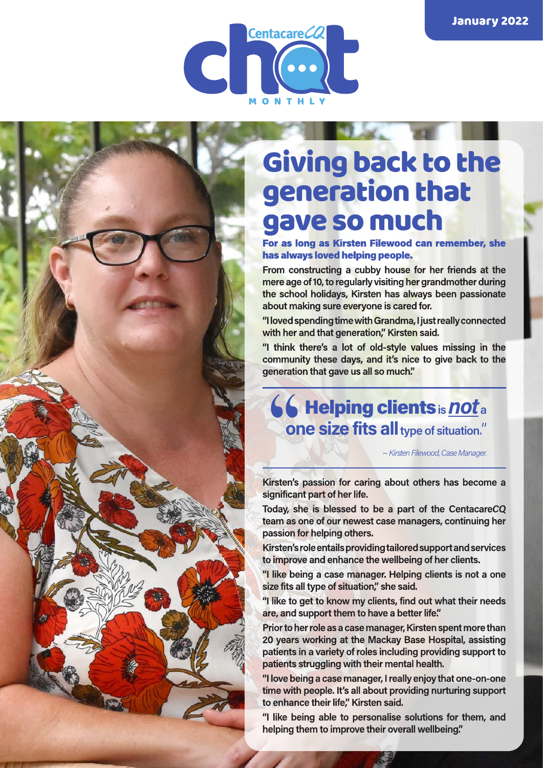

## Giving back to the generation that gave so much

For as long as Kirsten Filewood can remember, she has always loved helping people.

From constructing a cubby house for her friends at the mere age of 10, to regularly visiting her grandmother during the school holidays, Kirsten has always been passionate about making sure everyone is cared for.

"I loved spending time with Grandma, I just really connected with her and that generation," Kirsten said.

"I think there's a lot of old-style values missing in the community these days, and it's nice to give back to the generation that gave us all so much."

### **66 Helping clients is not a one size fits all type of situation."**

~ Kirsten Filewood, Case Manager.

Kirsten's passion for caring about others has become a significant part of her life.

Today, she is blessed to be a part of the CentacareCQ team as one of our newest case managers, continuing her passion for helping others.

Kirsten's role entails providing tailored support and services to improve and enhance the wellbeing of her clients.

"I like being a case manager. Helping clients is not a one size fits all type of situation," she said.

"I like to get to know my clients, find out what their needs are, and support them to have a better life."

Prior to her role as a case manager, Kirsten spent more than 20 years working at the Mackay Base Hospital, assisting patients in a variety of roles including providing support to patients struggling with their mental health.

"I love being a case manager, I really enjoy that one-on-one time with people. It's all about providing nurturing support to enhance their life," Kirsten said.

"I like being able to personalise solutions for them, and helping them to improve their overall wellbeing."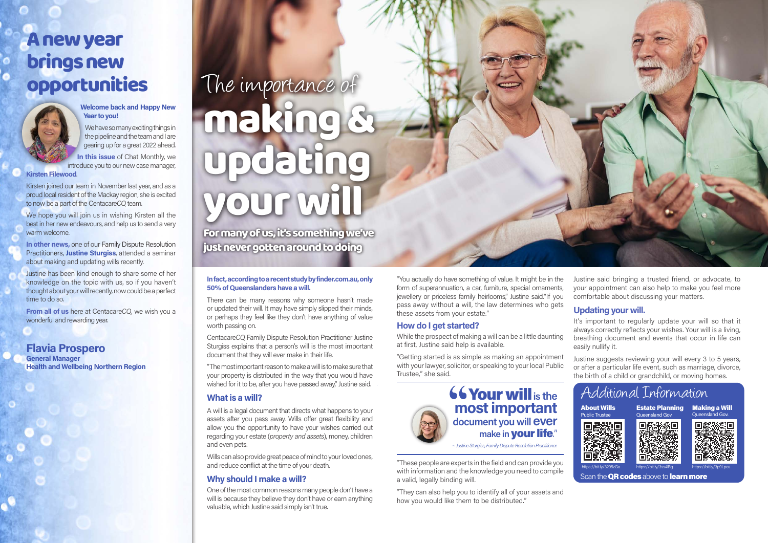## A new year brings new opportunities



#### **Welcome back and Happy New Year to you!**

We have so many exciting things in the pipeline and the team and I are gearing up for a great 2022 ahead.

**In this issue** of Chat Monthly, we introduce you to our new case manager,

**Kirsten Filewood**.

We hope you will join us in wishing Kirsten all the best in her new endeavours, and help us to send a very warm welcome.

Kirsten joined our team in November last year, and as a proud local resident of the Mackay region, she is excited to now be a part of the Centacare*CQ* team.

**In other news,** one of our Family Dispute Resolution Practitioners, **Justine Sturgiss**, attended a seminar about making and updating wills recently.

Justine has been kind enough to share some of her knowledge on the topic with us, so if you haven't thought about your will recently, now could be a perfect time to do so.

**From all of us** here at Centacare*CQ*, we wish you a wonderful and rewarding year.

**Flavia Prospero General Manager Health and Wellbeing Northern Region**

"You actually do have something of value. It might be in the form of superannuation, a car, furniture, special ornaments, jewellery or priceless family heirlooms," Justine said."If you pass away without a will, the law determines who gets these assets from your estate."

#### **How do I get started?**

While the prospect of making a will can be a little daunting at first, Justine said help is available.

"The most important reason to make a will is to make sure that your property is distributed in the way that you would have wished for it to be, after you have passed away," Justine said.

"Getting started is as simple as making an appointment with your lawyer, solicitor, or speaking to your local Public Trustee," she said.

"These people are experts in the field and can provide you with information and the knowledge you need to compile a valid, legally binding will.

# The importance of making & podating your will For many of us, it's something we've

"They can also help you to identify all of your assets and how you would like them to be distributed."



Justine said bringing a trusted friend, or advocate, to your appointment can also help to make you feel more comfortable about discussing your matters.

#### **Updating your will.**

It's important to regularly update your will so that it always correctly reflects your wishes. Your will is a living, breathing document and events that occur in life can easily nullify it.

Justine suggests reviewing your will every 3 to 5 years, or after a particular life event, such as marriage, divorce, the birth of a child or grandchild, or moving homes.

just never gotten around to doing

#### **In fact, according to a recent study by finder.com.au, only 50% of Queenslanders have a will.**

There can be many reasons why someone hasn't made or updated their will. It may have simply slipped their minds, or perhaps they feel like they don't have anything of value worth passing on.

Centacare*CQ* Family Dispute Resolution Practitioner Justine Sturgiss explains that a person's will is the most important document that they will ever make in their life.

#### **What is a will?**

A will is a legal document that directs what happens to your assets after you pass away. Wills offer great flexibility and allow you the opportunity to have your wishes carried out regarding your estate (*property and assets*), money, children and even pets.

Wills can also provide great peace of mind to your loved ones, and reduce conflict at the time of your death.

#### **Why should I make a will?**

One of the most common reasons many people don't have a will is because they believe they don't have or earn anything valuable, which Justine said simply isn't true.